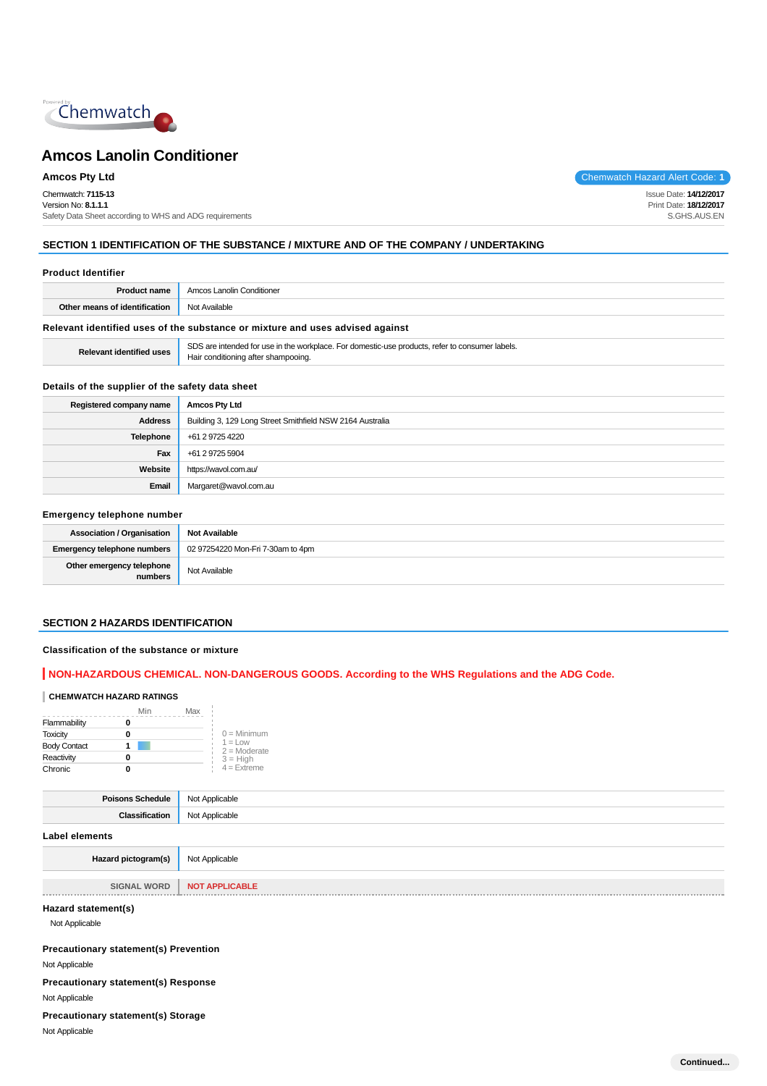

Chemwatch: **7115-13** Version No: **8.1.1.1** Safety Data Sheet according to WHS and ADG requirements

**Amcos Pty Ltd** Chemwatch Hazard Alert Code: **1** 

Issue Date: **14/12/2017** Print Date: **18/12/2017** S.GHS.AUS.EN

# **SECTION 1 IDENTIFICATION OF THE SUBSTANCE / MIXTURE AND OF THE COMPANY / UNDERTAKING**

| <b>Product Identifier</b>       |                                                                                                                                        |  |
|---------------------------------|----------------------------------------------------------------------------------------------------------------------------------------|--|
| <b>Product name</b>             | Amcos Lanolin Conditioner                                                                                                              |  |
| Other means of identification   | Not Available                                                                                                                          |  |
|                                 | Relevant identified uses of the substance or mixture and uses advised against                                                          |  |
| <b>Relevant identified uses</b> | SDS are intended for use in the workplace. For domestic-use products, refer to consumer labels.<br>Hair conditioning after shampooing. |  |

## **Details of the supplier of the safety data sheet**

| Registered company name | <b>Amcos Pty Ltd</b>                                      |
|-------------------------|-----------------------------------------------------------|
| Address                 | Building 3, 129 Long Street Smithfield NSW 2164 Australia |
| Telephone               | +61 2 9725 4220                                           |
| Fax                     | +61 2 9725 5904                                           |
| Website                 | https://wavol.com.au/                                     |
| Email                   | Margaret@wavol.com.au                                     |

#### **Emergency telephone number**

| <b>Association / Organisation</b>    | <b>Not Available</b>              |
|--------------------------------------|-----------------------------------|
| <b>Emergency telephone numbers</b>   | 02 97254220 Mon-Fri 7-30am to 4pm |
| Other emergency telephone<br>numbers | Not Available                     |

#### **SECTION 2 HAZARDS IDENTIFICATION**

#### **Classification of the substance or mixture**

# **NON-HAZARDOUS CHEMICAL. NON-DANGEROUS GOODS. According to the WHS Regulations and the ADG Code.**

# **CHEMWATCH HAZARD RATINGS**

|                     | Min | Max |                              |
|---------------------|-----|-----|------------------------------|
| Flammability        |     |     |                              |
| <b>Toxicity</b>     |     |     | $0 =$ Minimum                |
| <b>Body Contact</b> |     |     | $1 = 1$ OW<br>$2 =$ Moderate |
| Reactivity          |     |     | $3 = High$                   |
| Chronic             |     |     | $4 =$ Extreme                |

| Poisons Schedule   Not Applicable  |                |
|------------------------------------|----------------|
| Classification                     | Not Applicable |
| Label elements                     |                |
| Hazard pictogram(s) Not Applicable |                |
|                                    |                |

**SIGNAL WORD** | **NOT APPLICABLE** . . . . . . . . . . . . . . . . . . . 

# **Hazard statement(s)**

Not Applicable

**Precautionary statement(s) Prevention**

Not Applicable

**Precautionary statement(s) Response** Not Applicable

## **Precautionary statement(s) Storage**

Not Applicable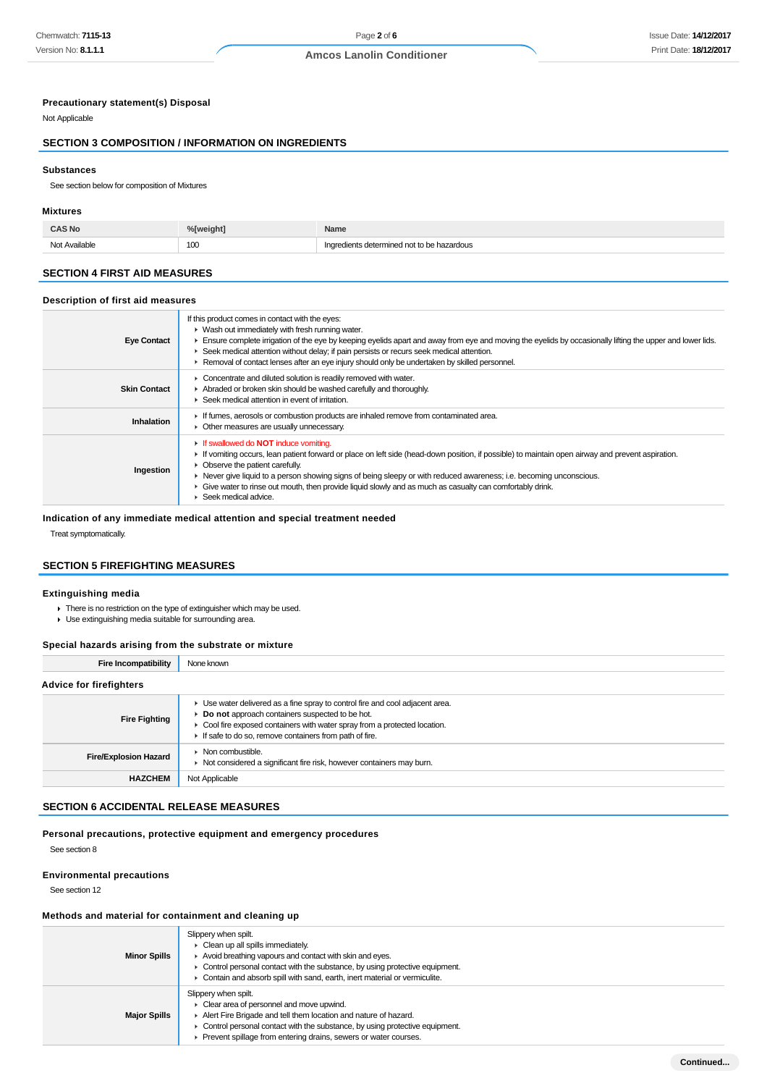## **Precautionary statement(s) Disposal**

Not Applicable

# **SECTION 3 COMPOSITION / INFORMATION ON INGREDIENTS**

#### **Substances**

See section below for composition of Mixtures

#### **Mixtures**

| <b>CAS No</b> | %[weight] | Name                                       |
|---------------|-----------|--------------------------------------------|
| Not Available | 100       | Ingredients determined not to be hazardous |

# **SECTION 4 FIRST AID MEASURES**

#### **Description of first aid measures**

| <b>Eye Contact</b>  | If this product comes in contact with the eyes:<br>• Wash out immediately with fresh running water.<br>Ensure complete irrigation of the eye by keeping eyelids apart and away from eye and moving the eyelids by occasionally lifting the upper and lower lids.<br>► Seek medical attention without delay; if pain persists or recurs seek medical attention.<br>► Removal of contact lenses after an eye injury should only be undertaken by skilled personnel.                              |
|---------------------|------------------------------------------------------------------------------------------------------------------------------------------------------------------------------------------------------------------------------------------------------------------------------------------------------------------------------------------------------------------------------------------------------------------------------------------------------------------------------------------------|
| <b>Skin Contact</b> | • Concentrate and diluted solution is readily removed with water.<br>Abraded or broken skin should be washed carefully and thoroughly.<br>▶ Seek medical attention in event of irritation.                                                                                                                                                                                                                                                                                                     |
| Inhalation          | If fumes, aerosols or combustion products are inhaled remove from contaminated area.<br>• Other measures are usually unnecessary.                                                                                                                                                                                                                                                                                                                                                              |
| Ingestion           | <b>If swallowed do NOT induce vomiting.</b><br>If vomiting occurs, lean patient forward or place on left side (head-down position, if possible) to maintain open airway and prevent aspiration.<br>• Observe the patient carefully.<br>► Never give liquid to a person showing signs of being sleepy or with reduced awareness; i.e. becoming unconscious.<br>Give water to rinse out mouth, then provide liquid slowly and as much as casualty can comfortably drink.<br>Seek medical advice. |

# **Indication of any immediate medical attention and special treatment needed**

Treat symptomatically.

# **SECTION 5 FIREFIGHTING MEASURES**

#### **Extinguishing media**

- There is no restriction on the type of extinguisher which may be used.
- Use extinguishing media suitable for surrounding area.

## **Special hazards arising from the substrate or mixture**

| <b>Fire Incompatibility</b>    | None known                                                                                                                                                                                                                                                               |
|--------------------------------|--------------------------------------------------------------------------------------------------------------------------------------------------------------------------------------------------------------------------------------------------------------------------|
| <b>Advice for firefighters</b> |                                                                                                                                                                                                                                                                          |
| <b>Fire Fighting</b>           | • Use water delivered as a fine spray to control fire and cool adjacent area.<br>Do not approach containers suspected to be hot.<br>• Cool fire exposed containers with water spray from a protected location.<br>If safe to do so, remove containers from path of fire. |
| <b>Fire/Explosion Hazard</b>   | $\triangleright$ Non combustible.<br>• Not considered a significant fire risk, however containers may burn.                                                                                                                                                              |
| <b>HAZCHEM</b>                 | Not Applicable                                                                                                                                                                                                                                                           |

## **SECTION 6 ACCIDENTAL RELEASE MEASURES**

# **Personal precautions, protective equipment and emergency procedures**

See section 8

## **Environmental precautions**

See section 12

# **Methods and material for containment and cleaning up**

| <b>Minor Spills</b> | Slippery when spilt.<br>• Clean up all spills immediately.<br>Avoid breathing vapours and contact with skin and eyes.<br>$\triangleright$ Control personal contact with the substance, by using protective equipment.<br>• Contain and absorb spill with sand, earth, inert material or vermiculite.     |
|---------------------|----------------------------------------------------------------------------------------------------------------------------------------------------------------------------------------------------------------------------------------------------------------------------------------------------------|
| <b>Major Spills</b> | Slippery when spilt.<br>• Clear area of personnel and move upwind.<br>Alert Fire Brigade and tell them location and nature of hazard.<br>$\triangleright$ Control personal contact with the substance, by using protective equipment.<br>Prevent spillage from entering drains, sewers or water courses. |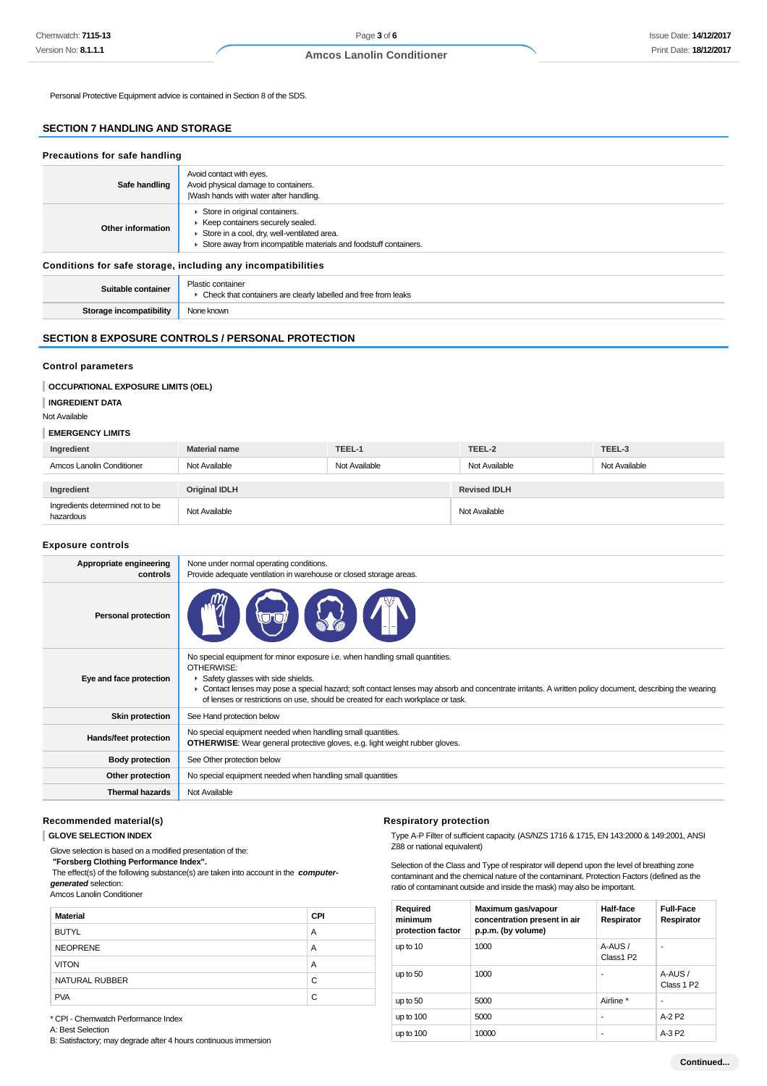Personal Protective Equipment advice is contained in Section 8 of the SDS.

# **SECTION 7 HANDLING AND STORAGE**

| Precautions for safe handling                                |                                                                                                                                                                                        |  |
|--------------------------------------------------------------|----------------------------------------------------------------------------------------------------------------------------------------------------------------------------------------|--|
| Safe handling                                                | Avoid contact with eyes.<br>Avoid physical damage to containers.<br>Wash hands with water after handling.                                                                              |  |
| Other information                                            | Store in original containers.<br>▶ Keep containers securely sealed.<br>Store in a cool, dry, well-ventilated area.<br>Store away from incompatible materials and foodstuff containers. |  |
| Conditions for safe storage, including any incompatibilities |                                                                                                                                                                                        |  |
| Suitable container                                           | Plastic container<br>• Check that containers are clearly labelled and free from leaks                                                                                                  |  |
| Storage incompatibility                                      | None known                                                                                                                                                                             |  |

# **SECTION 8 EXPOSURE CONTROLS / PERSONAL PROTECTION**

#### **Control parameters**

## **OCCUPATIONAL EXPOSURE LIMITS (OEL)**

#### **INGREDIENT DATA**

Not Available

#### **EMERGENCY LIMITS**

| Ingredient                | <b>Material name</b> | TEEL-1        | TEEL-2              | TEEL-3        |
|---------------------------|----------------------|---------------|---------------------|---------------|
| Amcos Lanolin Conditioner | Not Available        | Not Available | Not Available       | Not Available |
|                           |                      |               |                     |               |
|                           |                      |               |                     |               |
| Ingredient                | <b>Original IDLH</b> |               | <b>Revised IDLH</b> |               |

#### **Exposure controls**

| Appropriate engineering<br>controls | None under normal operating conditions.<br>Provide adequate ventilation in warehouse or closed storage areas.                                                                                                                                                                                                                                                                 |
|-------------------------------------|-------------------------------------------------------------------------------------------------------------------------------------------------------------------------------------------------------------------------------------------------------------------------------------------------------------------------------------------------------------------------------|
| <b>Personal protection</b>          |                                                                                                                                                                                                                                                                                                                                                                               |
| Eye and face protection             | No special equipment for minor exposure i.e. when handling small quantities.<br>OTHERWISE:<br>Safety glasses with side shields.<br>• Contact lenses may pose a special hazard; soft contact lenses may absorb and concentrate irritants. A written policy document, describing the wearing<br>of lenses or restrictions on use, should be created for each workplace or task. |
| <b>Skin protection</b>              | See Hand protection below                                                                                                                                                                                                                                                                                                                                                     |
| Hands/feet protection               | No special equipment needed when handling small quantities.<br><b>OTHERWISE:</b> Wear general protective gloves, e.g. light weight rubber gloves.                                                                                                                                                                                                                             |
| <b>Body protection</b>              | See Other protection below                                                                                                                                                                                                                                                                                                                                                    |
| Other protection                    | No special equipment needed when handling small quantities                                                                                                                                                                                                                                                                                                                    |
| <b>Thermal hazards</b>              | Not Available                                                                                                                                                                                                                                                                                                                                                                 |
|                                     |                                                                                                                                                                                                                                                                                                                                                                               |

#### **Recommended material(s)**

## **GLOVE SELECTION INDEX**

Glove selection is based on a modified presentation of the:

 **"Forsberg Clothing Performance Index".**

 The effect(s) of the following substance(s) are taken into account in the **computergenerated** selection:

Amcos Lanolin Conditioner

| <b>Material</b> | <b>CPI</b> |
|-----------------|------------|
| <b>BUTYL</b>    | A          |
| <b>NEOPRENE</b> | A          |
| <b>VITON</b>    | A          |
| NATURAL RUBBER  | C          |
| <b>PVA</b>      | C          |

#### **Respiratory protection**

Type A-P Filter of sufficient capacity. (AS/NZS 1716 & 1715, EN 143:2000 & 149:2001, ANSI Z88 or national equivalent)

Selection of the Class and Type of respirator will depend upon the level of breathing zone contaminant and the chemical nature of the contaminant. Protection Factors (defined as the ratio of contaminant outside and inside the mask) may also be important.

| Required<br>minimum<br>protection factor | Maximum gas/vapour<br>concentration present in air<br>p.p.m. (by volume) | Half-face<br>Respirator | <b>Full-Face</b><br>Respirator    |
|------------------------------------------|--------------------------------------------------------------------------|-------------------------|-----------------------------------|
| up to 10                                 | 1000                                                                     | A-AUS/<br>Class1 P2     | ۰                                 |
| up to 50                                 | 1000                                                                     |                         | A-AUS /<br>Class 1 P <sub>2</sub> |
| up to 50                                 | 5000                                                                     | Airline *               |                                   |
| up to $100$                              | 5000                                                                     | ٠                       | $A-2P2$                           |
| up to 100                                | 10000                                                                    | ٠                       | A-3 P2                            |

\* CPI - Chemwatch Performance Index A: Best Selection

B: Satisfactory; may degrade after 4 hours continuous immersion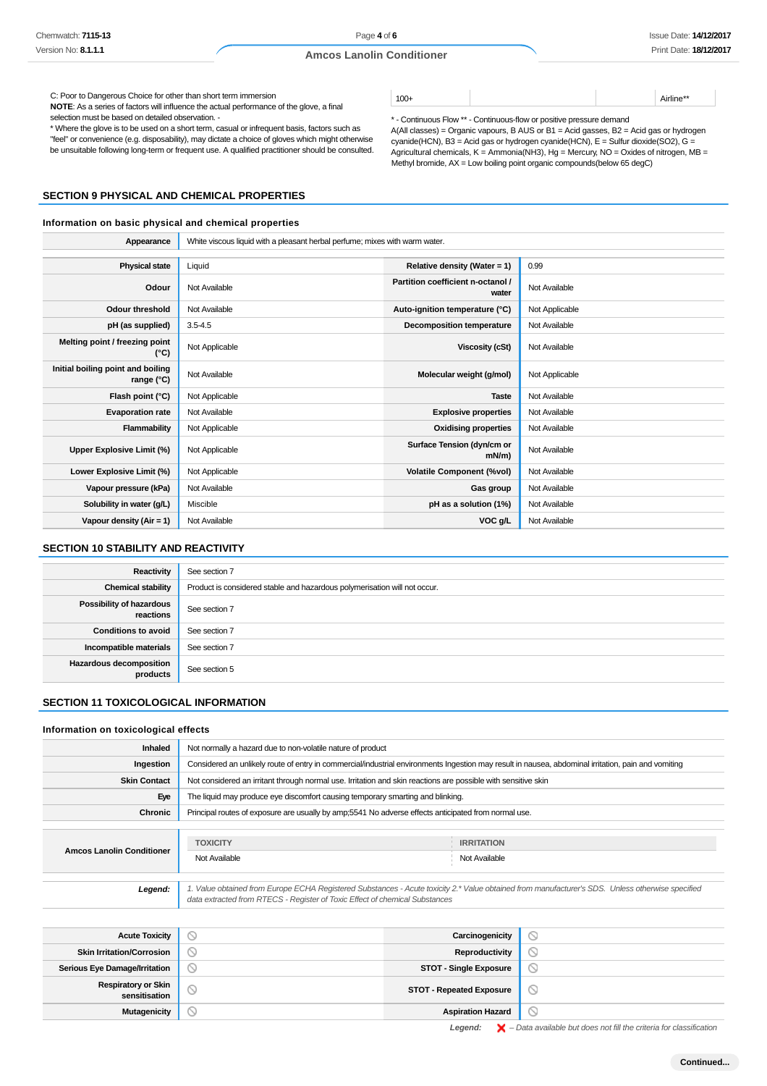100+ Airline\*\*

A(All classes) = Organic vapours, B AUS or B1 = Acid gasses, B2 = Acid gas or hydrogen  $c$ yanide(HCN), B3 = Acid gas or hydrogen cyanide(HCN), E = Sulfur dioxide(SO2), G = Agricultural chemicals,  $K =$  Ammonia(NH3), Hg = Mercury, NO = Oxides of nitrogen, MB =

\* - Continuous Flow \*\* - Continuous-flow or positive pressure demand

Methyl bromide, AX = Low boiling point organic compounds(below 65 degC)

#### **Amcos Lanolin Conditioner**

C: Poor to Dangerous Choice for other than short term immersion

**NOTE**: As a series of factors will influence the actual performance of the glove, a final selection must be based on detailed observation. -

\* Where the glove is to be used on a short term, casual or infrequent basis, factors such as "feel" or convenience (e.g. disposability), may dictate a choice of gloves which might otherwise be unsuitable following long-term or frequent use. A qualified practitioner should be consulted.

## **SECTION 9 PHYSICAL AND CHEMICAL PROPERTIES**

#### **Information on basic physical and chemical properties**

**Appearance** White viscous liquid with a pleasant herbal perfume; mixes with warm water. **Physical state** Liquid **Relative density (Water = 1)** 0.99 **Odour** Not Available **Partition coefficient n-octanol /**<br> **Partition coefficient n-octanol / Not Available Odour threshold** Not Available **Auto-ignition temperature (°C)** Not Applicable **pH (as supplied)** 3.5-4.5 **Decomposition temperature** Not Available **Melting point / freezing point (°C)** Not Applicable **Viscosity (cSt)** Not Available **Initial boiling point and boiling rand bolling** Not Available **Molecular weight (g/mol)** Not Applicable **range** (°C) **Flash point (°C)** Not Applicable **Taste** Not Available **Taste** Not Available **Evaporation rate** Not Available **Explosive properties** Not Available **Flammability** Not Applicable **Containers Oxidising properties** Not Available Upper Explosive Limit (%) **Not Applicable <b>Surface Tension (dyn/cm or** N) Surface Tension (dyn/cm or n) **N**) **Not Available Lower Explosive Limit (%)** Not Applicable **Volatile Component (%vol)** Not Available **Vapour pressure (kPa)** Not Available **Gas group** Not Available **Gas group** Not Available **Solubility in water (g/L)** Miscible **pH as a solution (1%)** Not Available **Vapour density (Air = 1)** Not Available **VOC g/L** Not Available

## **SECTION 10 STABILITY AND REACTIVITY**

| Reactivity                            | See section 7                                                             |
|---------------------------------------|---------------------------------------------------------------------------|
| <b>Chemical stability</b>             | Product is considered stable and hazardous polymerisation will not occur. |
| Possibility of hazardous<br>reactions | See section 7                                                             |
| <b>Conditions to avoid</b>            | See section 7                                                             |
| Incompatible materials                | See section 7                                                             |
| Hazardous decomposition<br>products   | See section 5                                                             |

## **SECTION 11 TOXICOLOGICAL INFORMATION**

#### **Information on toxicological effects**

| <b>Inhaled</b>                   | Not normally a hazard due to non-volatile nature of product                                                   |                                                                                                                                                     |  |
|----------------------------------|---------------------------------------------------------------------------------------------------------------|-----------------------------------------------------------------------------------------------------------------------------------------------------|--|
| Ingestion                        |                                                                                                               | Considered an unlikely route of entry in commercial/industrial environments Ingestion may result in nausea, abdominal irritation, pain and vomiting |  |
| <b>Skin Contact</b>              | Not considered an irritant through normal use. Irritation and skin reactions are possible with sensitive skin |                                                                                                                                                     |  |
| Eye                              | The liquid may produce eye discomfort causing temporary smarting and blinking.                                |                                                                                                                                                     |  |
| Chronic                          | Principal routes of exposure are usually by amp; 5541 No adverse effects anticipated from normal use.         |                                                                                                                                                     |  |
|                                  |                                                                                                               |                                                                                                                                                     |  |
| <b>Amcos Lanolin Conditioner</b> | <b>TOXICITY</b>                                                                                               | <b>IRRITATION</b>                                                                                                                                   |  |
|                                  | Not Available                                                                                                 | Not Available                                                                                                                                       |  |
|                                  |                                                                                                               |                                                                                                                                                     |  |
| Legend:                          | data extracted from RTECS - Register of Toxic Effect of chemical Substances                                   | 1. Value obtained from Europe ECHA Registered Substances - Acute toxicity 2.* Value obtained from manufacturer's SDS. Unless otherwise specified    |  |

| <b>Acute Toxicity</b>                       | ◡                               | Carcinogenicity                 |        |
|---------------------------------------------|---------------------------------|---------------------------------|--------|
| <b>Skin Irritation/Corrosion</b>            | $\circ$                         | Reproductivity                  |        |
| <b>Serious Eye Damage/Irritation</b>        | Y                               | <b>STOT - Single Exposure</b>   |        |
| <b>Respiratory or Skin</b><br>sensitisation | ∾                               | <b>STOT - Repeated Exposure</b> | ◡      |
| <b>Mutagenicity</b>                         | $\scriptstyle\circlearrowright$ | <b>Aspiration Hazard</b>        | $\sim$ |

Legend:  $\mathsf{X}$  – Data available but does not fill the criteria for classification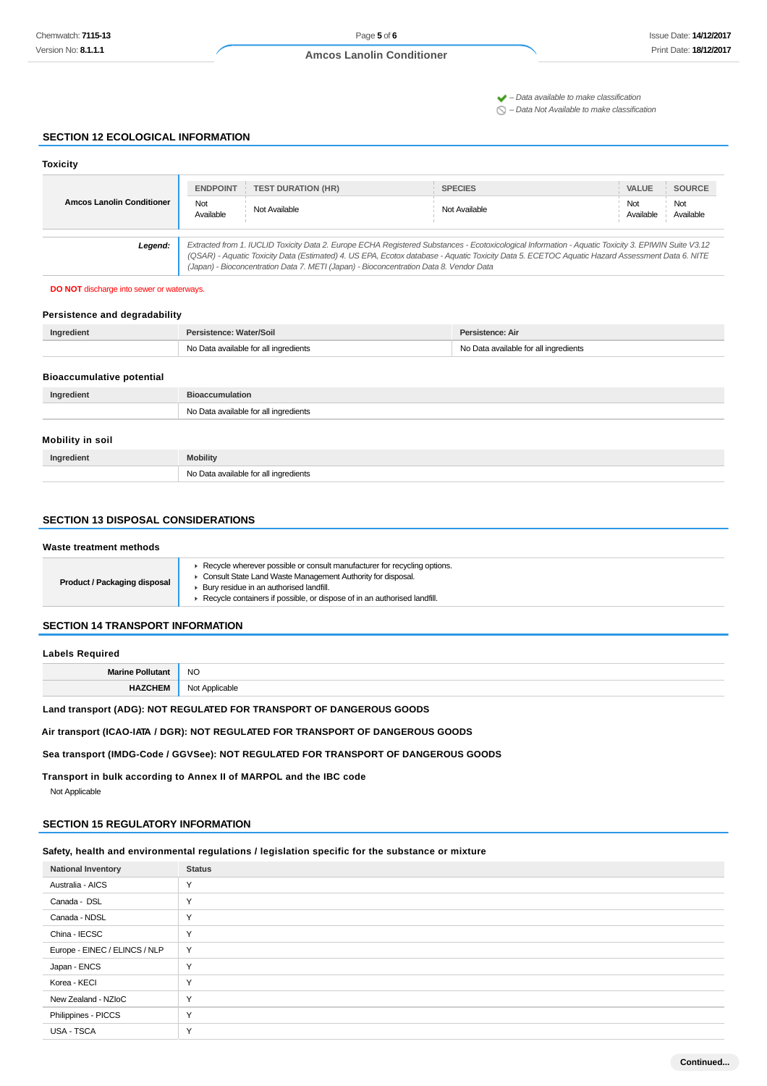$\blacktriangleright$  – Data available to make classification

 $\bigcirc$  – Data Not Available to make classification

## **SECTION 12 ECOLOGICAL INFORMATION**

| <b>Toxicity</b>                                                                                                                                                                                                                                                                                                                                                                                            |                  |                           |                |                                      |
|------------------------------------------------------------------------------------------------------------------------------------------------------------------------------------------------------------------------------------------------------------------------------------------------------------------------------------------------------------------------------------------------------------|------------------|---------------------------|----------------|--------------------------------------|
|                                                                                                                                                                                                                                                                                                                                                                                                            | <b>ENDPOINT</b>  | <b>TEST DURATION (HR)</b> | <b>SPECIES</b> | <b>SOURCE</b><br><b>VALUE</b>        |
| <b>Amcos Lanolin Conditioner</b>                                                                                                                                                                                                                                                                                                                                                                           | Not<br>Available | Not Available             | Not Available  | Not<br>Not<br>Available<br>Available |
| Extracted from 1. IUCLID Toxicity Data 2. Europe ECHA Registered Substances - Ecotoxicological Information - Aquatic Toxicity 3. EPIWIN Suite V3.12<br>Legend:<br>(QSAR) - Aquatic Toxicity Data (Estimated) 4. US EPA, Ecotox database - Aquatic Toxicity Data 5. ECETOC Aquatic Hazard Assessment Data 6. NITE<br>(Japan) - Bioconcentration Data 7. METI (Japan) - Bioconcentration Data 8. Vendor Data |                  |                           |                |                                      |

**DO NOT** discharge into sewer or waterways.

## **Persistence and degradability**

| Ingredient                       | Persistence: Water/Soil               | Persistence: Air                      |
|----------------------------------|---------------------------------------|---------------------------------------|
|                                  | No Data available for all ingredients | No Data available for all ingredients |
|                                  |                                       |                                       |
| <b>Bioaccumulative potential</b> |                                       |                                       |
| Ingredient                       | <b>Bioaccumulation</b>                |                                       |
|                                  | No Data available for all ingredients |                                       |
|                                  |                                       |                                       |
| Mobility in soil                 |                                       |                                       |
| Ingredient                       | <b>Mobility</b>                       |                                       |

## **SECTION 13 DISPOSAL CONSIDERATIONS**

| Waste treatment methods      |                                                                                                                                                                                                                                                                |  |
|------------------------------|----------------------------------------------------------------------------------------------------------------------------------------------------------------------------------------------------------------------------------------------------------------|--|
| Product / Packaging disposal | Recycle wherever possible or consult manufacturer for recycling options.<br>Consult State Land Waste Management Authority for disposal.<br>Bury residue in an authorised landfill.<br>Recycle containers if possible, or dispose of in an authorised landfill. |  |

## **SECTION 14 TRANSPORT INFORMATION**

## **Labels Required**

| — Ша…               | <sub>NO</sub>             |
|---------------------|---------------------------|
| =IV<br>$\mathbf{H}$ | Nl∩<br>Applicable<br>יי י |

## **Land transport (ADG): NOT REGULATED FOR TRANSPORT OF DANGEROUS GOODS**

No Data available for all ingredients

**Air transport (ICAO-IATA / DGR): NOT REGULATED FOR TRANSPORT OF DANGEROUS GOODS**

**Sea transport (IMDG-Code / GGVSee): NOT REGULATED FOR TRANSPORT OF DANGEROUS GOODS**

**Transport in bulk according to Annex II of MARPOL and the IBC code**

Not Applicable

# **SECTION 15 REGULATORY INFORMATION**

**Safety, health and environmental regulations / legislation specific for the substance or mixture**

| <b>National Inventory</b>     | <b>Status</b> |
|-------------------------------|---------------|
| Australia - AICS              | Y             |
| Canada - DSL                  | $\checkmark$  |
| Canada - NDSL                 | Y             |
| China - IECSC                 | Y             |
| Europe - EINEC / ELINCS / NLP | Y             |
| Japan - ENCS                  | Y             |
| Korea - KECI                  | $\checkmark$  |
| New Zealand - NZIoC           | $\checkmark$  |
| Philippines - PICCS           | Y             |
| USA - TSCA                    | $\checkmark$  |